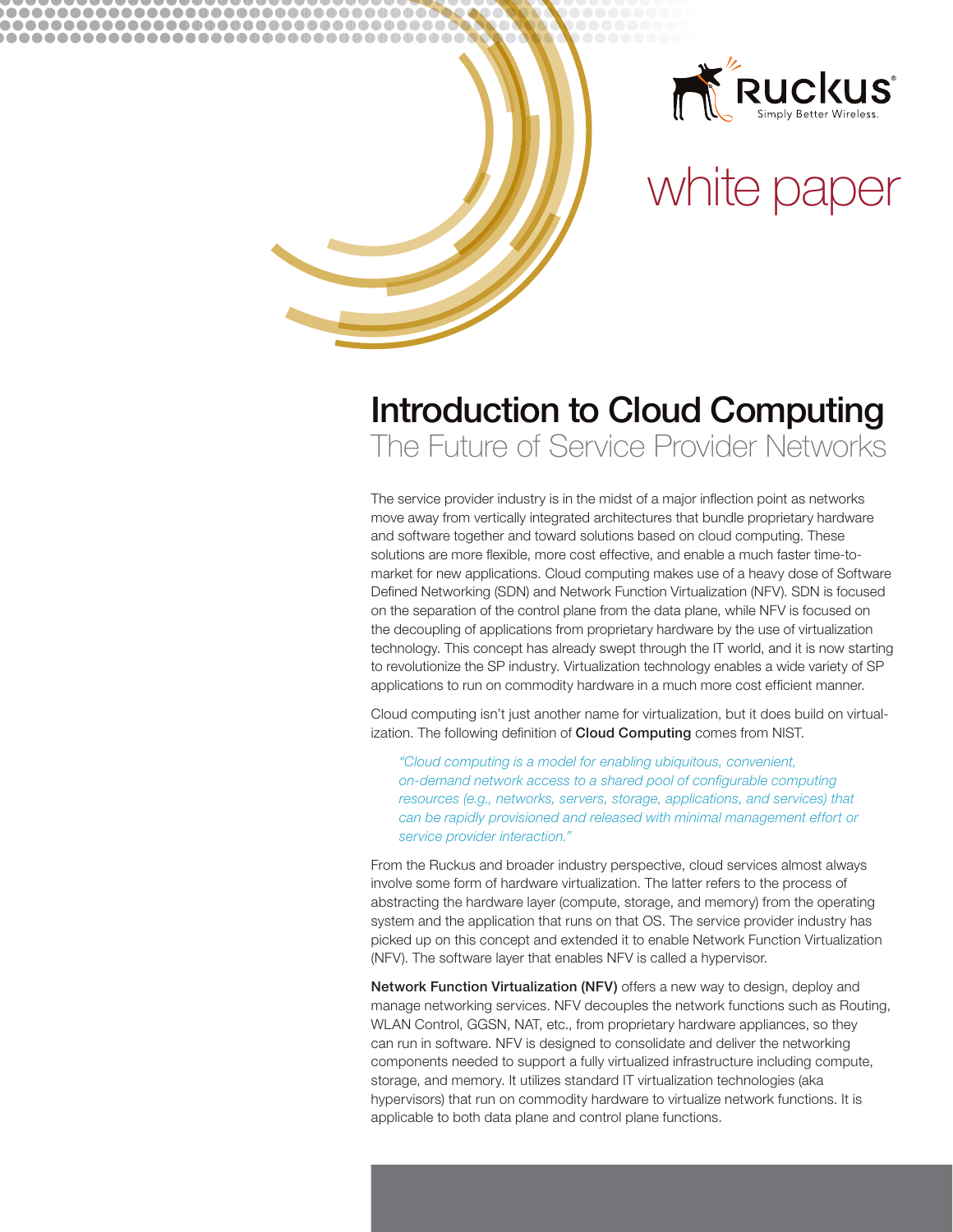

# white paper

# **Introduction to Cloud Computing** The Future of Service Provider Networks

........................ ,,,,,,,,,,,,,,,,,,,,,,,,,,,,,,,,,,, 000000000000000000000000000

> The service provider industry is in the midst of a major inflection point as networks move away from vertically integrated architectures that bundle proprietary hardware and software together and toward solutions based on cloud computing. These solutions are more flexible, more cost effective, and enable a much faster time-tomarket for new applications. Cloud computing makes use of a heavy dose of Software Defined Networking (SDN) and Network Function Virtualization (NFV). SDN is focused on the separation of the control plane from the data plane, while NFV is focused on the decoupling of applications from proprietary hardware by the use of virtualization technology. This concept has already swept through the IT world, and it is now starting to revolutionize the SP industry. Virtualization technology enables a wide variety of SP applications to run on commodity hardware in a much more cost efficient manner.

Cloud computing isn't just another name for virtualization, but it does build on virtualization. The following definition of Cloud Computing comes from NIST.

"Cloud computing is a model for enabling ubiquitous, convenient, on-demand network access to a shared pool of configurable computing resources (e.g., networks, servers, storage, applications, and services) that can be rapidly provisioned and released with minimal management effort or service provider interaction."

From the Ruckus and broader industry perspective, cloud services almost always involve some form of hardware virtualization. The latter refers to the process of abstracting the hardware layer (compute, storage, and memory) from the operating system and the application that runs on that OS. The service provider industry has picked up on this concept and extended it to enable Network Function Virtualization (NFV). The software layer that enables NFV is called a hypervisor.

Network Function Virtualization (NFV) offers a new way to design, deploy and manage networking services. NFV decouples the network functions such as Routing, WLAN Control, GGSN, NAT, etc., from proprietary hardware appliances, so they can run in software. NFV is designed to consolidate and deliver the networking components needed to support a fully virtualized infrastructure including compute, storage, and memory. It utilizes standard IT virtualization technologies (aka hypervisors) that run on commodity hardware to virtualize network functions. It is applicable to both data plane and control plane functions.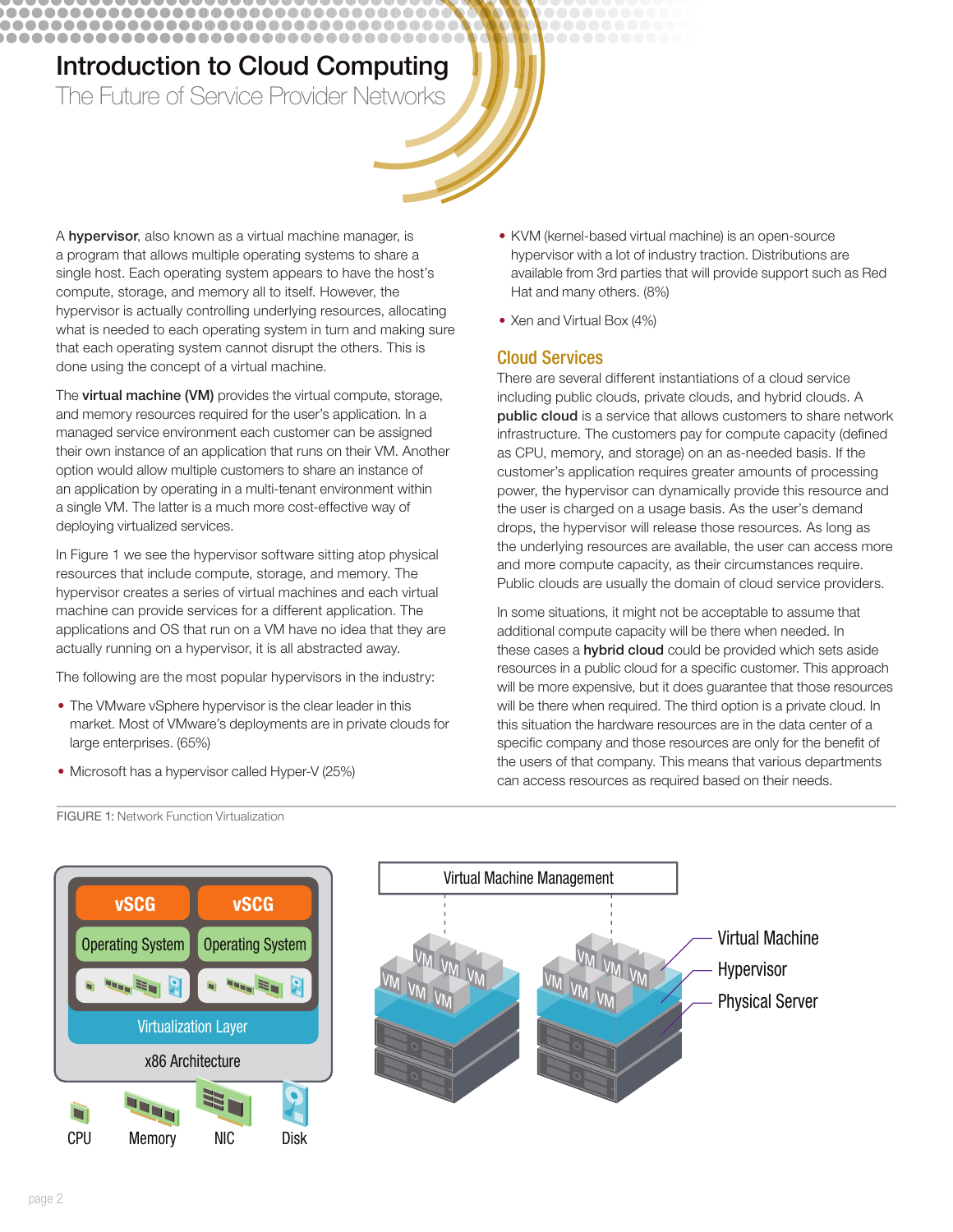## **Introduction to Cloud Computing** The Future of Service Provider Networks

...................................

...........................

............................

A hypervisor, also known as a virtual machine manager, is a program that allows multiple operating systems to share a single host. Each operating system appears to have the host's compute, storage, and memory all to itself. However, the hypervisor is actually controlling underlying resources, allocating what is needed to each operating system in turn and making sure that each operating system cannot disrupt the others. This is done using the concept of a virtual machine.

The virtual machine (VM) provides the virtual compute, storage, and memory resources required for the user's application. In a managed service environment each customer can be assigned their own instance of an application that runs on their VM. Another option would allow multiple customers to share an instance of an application by operating in a multi-tenant environment within a single VM. The latter is a much more cost-effective way of deploying virtualized services.

In Figure 1 we see the hypervisor software sitting atop physical resources that include compute, storage, and memory. The hypervisor creates a series of virtual machines and each virtual machine can provide services for a different application. The applications and OS that run on a VM have no idea that they are actually running on a hypervisor, it is all abstracted away.

The following are the most popular hypervisors in the industry:

- The VMware vSphere hypervisor is the clear leader in this market. Most of VMware's deployments are in private clouds for large enterprises. (65%)
- Microsoft has a hypervisor called Hyper-V (25%)
- KVM (kernel-based virtual machine) is an open-source hypervisor with a lot of industry traction. Distributions are available from 3rd parties that will provide support such as Red Hat and many others. (8%)
- Xen and Virtual Box (4%)

## **Cloud Services**

There are several different instantiations of a cloud service including public clouds, private clouds, and hybrid clouds. A public cloud is a service that allows customers to share network infrastructure. The customers pay for compute capacity (defined as CPU, memory, and storage) on an as-needed basis. If the customer's application requires greater amounts of processing power, the hypervisor can dynamically provide this resource and the user is charged on a usage basis. As the user's demand drops, the hypervisor will release those resources. As long as the underlying resources are available, the user can access more and more compute capacity, as their circumstances require. Public clouds are usually the domain of cloud service providers.

In some situations, it might not be acceptable to assume that additional compute capacity will be there when needed. In these cases a hybrid cloud could be provided which sets aside resources in a public cloud for a specific customer. This approach will be more expensive, but it does guarantee that those resources will be there when required. The third option is a private cloud. In this situation the hardware resources are in the data center of a specific company and those resources are only for the benefit of the users of that company. This means that various departments can access resources as required based on their needs.





FIGURE 1: Network Function Virtualization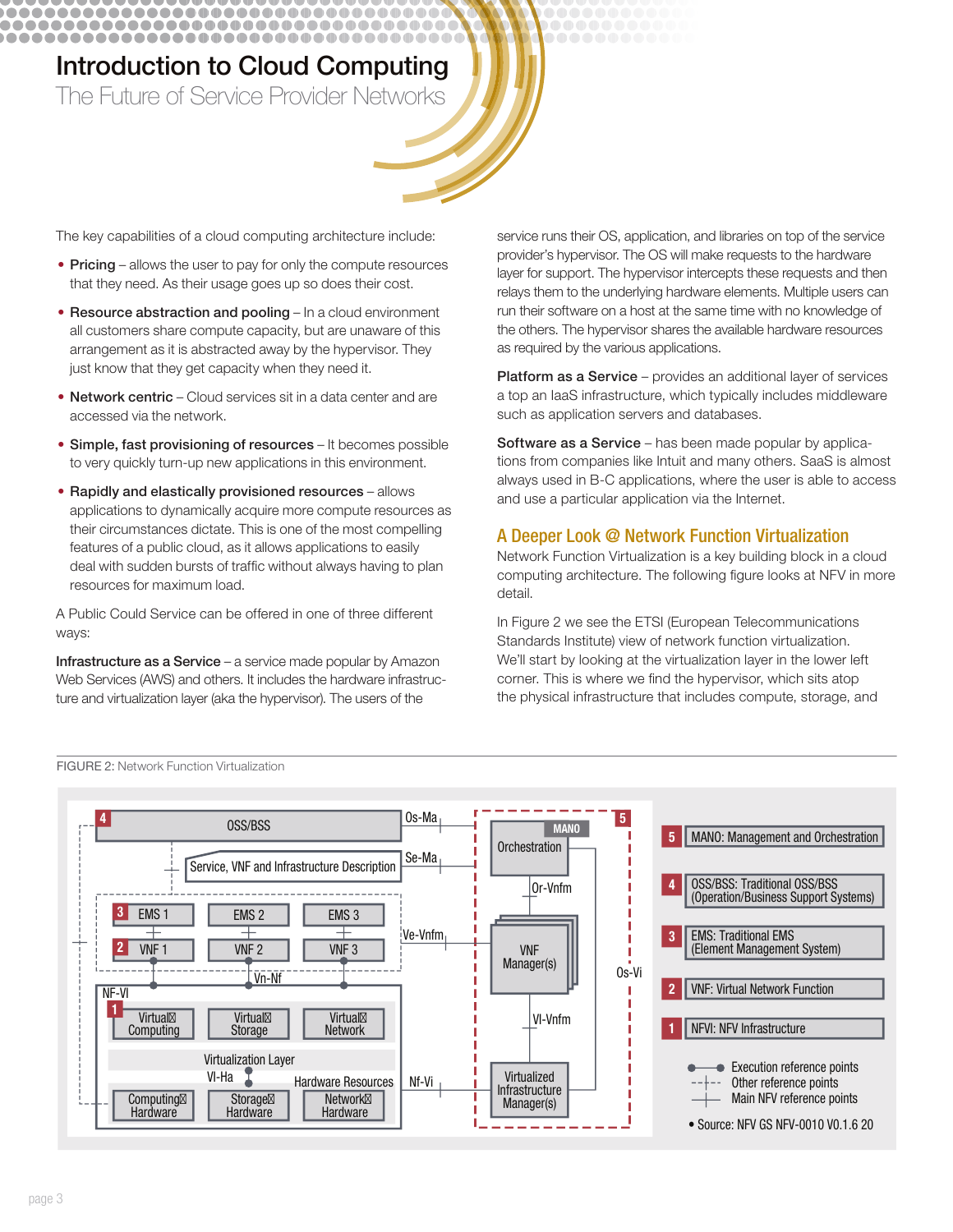# **Introduction to Cloud Computing** The Future of Service Provider Networks

................................... ....................................

\_\_\_\_\_\_\_\_\_\_\_\_\_\_\_\_\_\_\_\_\_\_\_\_\_\_\_\_\_\_\_\_\_\_

The key capabilities of a cloud computing architecture include:

- Pricing allows the user to pay for only the compute resources that they need. As their usage goes up so does their cost.
- Resource abstraction and pooling In a cloud environment all customers share compute capacity, but are unaware of this arrangement as it is abstracted away by the hypervisor. They just know that they get capacity when they need it.
- Network centric Cloud services sit in a data center and are accessed via the network.
- Simple, fast provisioning of resources It becomes possible to very quickly turn-up new applications in this environment.
- Rapidly and elastically provisioned resources allows applications to dynamically acquire more compute resources as their circumstances dictate. This is one of the most compelling features of a public cloud, as it allows applications to easily deal with sudden bursts of traffic without always having to plan resources for maximum load.

A Public Could Service can be offered in one of three different ways:

Infrastructure as a Service - a service made popular by Amazon Web Services (AWS) and others. It includes the hardware infrastructure and virtualization layer (aka the hypervisor). The users of the

**FIGURE 2: Network Function Virtualization** 

service runs their OS, application, and libraries on top of the service provider's hypervisor. The OS will make requests to the hardware layer for support. The hypervisor intercepts these requests and then relays them to the underlying hardware elements. Multiple users can run their software on a host at the same time with no knowledge of the others. The hypervisor shares the available hardware resources as required by the various applications.

Platform as a Service - provides an additional layer of services a top an laaS infrastructure, which typically includes middleware such as application servers and databases.

Software as a Service - has been made popular by applications from companies like Intuit and many others. SaaS is almost always used in B-C applications, where the user is able to access and use a particular application via the Internet.

### A Deeper Look @ Network Function Virtualization

Network Function Virtualization is a key building block in a cloud computing architecture. The following figure looks at NFV in more detail.

In Figure 2 we see the ETSI (European Telecommunications Standards Institute) view of network function virtualization. We'll start by looking at the virtualization layer in the lower left corner. This is where we find the hypervisor, which sits atop the physical infrastructure that includes compute, storage, and

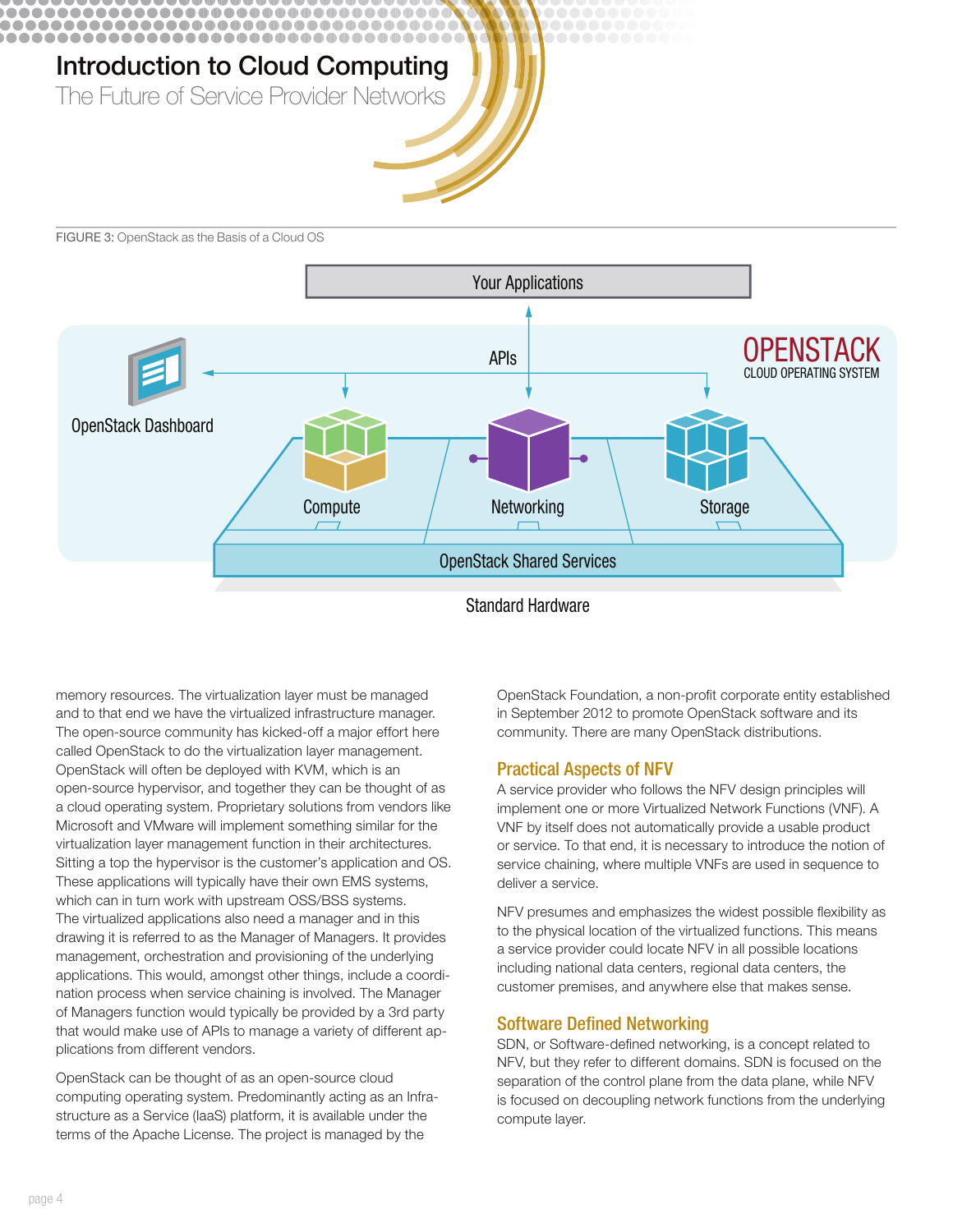

FIGURE 3: OpenStack as the Basis of a Cloud OS



memory resources. The virtualization layer must be managed and to that end we have the virtualized infrastructure manager. The open-source community has kicked-off a major effort here called OpenStack to do the virtualization layer management. OpenStack will often be deployed with KVM, which is an open-source hypervisor, and together they can be thought of as a cloud operating system. Proprietary solutions from vendors like Microsoft and VMware will implement something similar for the virtualization layer management function in their architectures. Sitting a top the hypervisor is the customer's application and OS. These applications will typically have their own EMS systems, which can in turn work with upstream OSS/BSS systems. The virtualized applications also need a manager and in this drawing it is referred to as the Manager of Managers. It provides management, orchestration and provisioning of the underlying applications. This would, amongst other things, include a coordination process when service chaining is involved. The Manager of Managers function would typically be provided by a 3rd party that would make use of APIs to manage a variety of different applications from different vendors.

OpenStack can be thought of as an open-source cloud computing operating system. Predominantly acting as an Infrastructure as a Service (laaS) platform, it is available under the terms of the Apache License. The project is managed by the

OpenStack Foundation, a non-profit corporate entity established in September 2012 to promote OpenStack software and its community. There are many OpenStack distributions.

#### **Practical Aspects of NFV**

A service provider who follows the NFV design principles will implement one or more Virtualized Network Functions (VNF). A VNF by itself does not automatically provide a usable product or service. To that end, it is necessary to introduce the notion of service chaining, where multiple VNFs are used in sequence to deliver a service.

NFV presumes and emphasizes the widest possible flexibility as to the physical location of the virtualized functions. This means a service provider could locate NFV in all possible locations including national data centers, regional data centers, the customer premises, and anywhere else that makes sense.

#### **Software Defined Networking**

SDN, or Software-defined networking, is a concept related to NFV, but they refer to different domains. SDN is focused on the separation of the control plane from the data plane, while NFV is focused on decoupling network functions from the underlying compute layer.